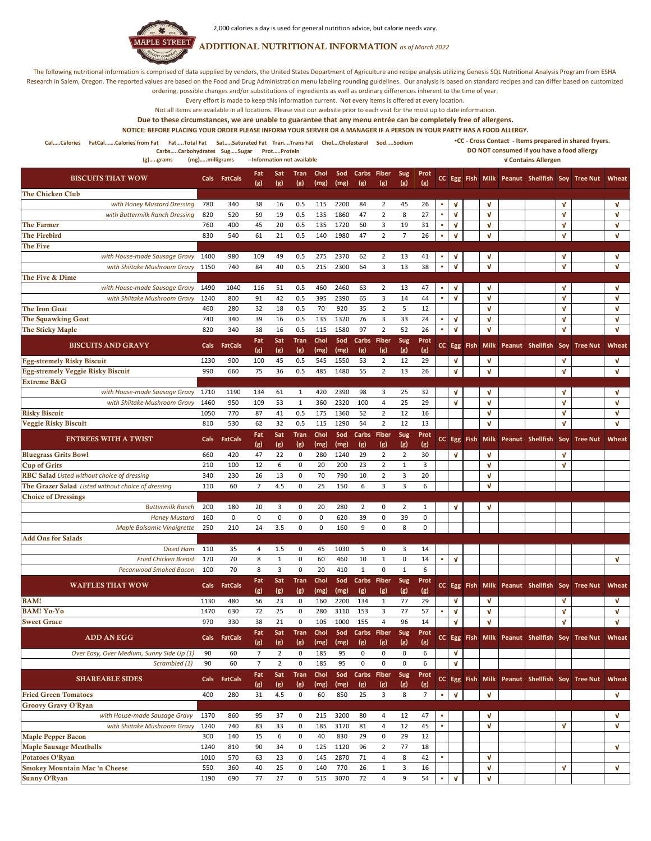2,000 calories a day is used for general nutrition advice, but calorie needs vary.



ADDITIONAL NUTRITIONAL INFORMATION *as of March 2022*

The following nutritional information is comprised of data supplied by vendors, the United States Department of Agriculture and recipe analysis utilizing Genesis SQL Nutritional Analysis Program from ESHA Research in Salem, Oregon. The reported values are based on the Food and Drug Administration menu labeling rounding guidelines. Our analysis is based on standard recipes and can differ based on customized ordering, possible changes and/or substitutions of ingredients as well as ordinary differences inherent to the time of year.

Every effort is made to keep this information current. Not every items is offered at every location.

Not all items are available in all locations. Please visit our website prior to each visit for the most up to date information.

## **Due to these circumstances, we are unable to guarantee that any menu entrée can be completely free of allergens.**

**NOTICE: BEFORE PLACING YOUR ORDER PLEASE INFORM YOUR SERVER OR A MANAGER IF A PERSON IN YOUR PARTY HAS A FOOD ALLERGY.**

| FatCalCalories from Fat FatTotal Fat SatSaturated Fat TranTrans Fat CholCholesterol SodSodium<br>CalCalories | •CC - Cross Contact - Items prepared in shared fryers. |
|--------------------------------------------------------------------------------------------------------------|--------------------------------------------------------|
| CarbsCarbohydrates SugSugar ProtProtein                                                                      | DO NOT consumed if you have a food allergy             |
| (mg)milligrams --Information not available<br>(g)grams                                                       | √ Contains Allergen                                    |

| <b>BISCUITS THAT WOW</b>                           |             | Cals FatCals          | Fat<br>(g)     | Sat<br>(g)     | Tran<br>(g)                | Chol<br>(mg) | Sod<br>(mg) | Carbs<br>(g) | Fiber<br>(g)            | Sug<br>(g)          | Prot<br>(g)    |    |              |                                |        |                               |              | CC Egg Fish Milk Peanut Shellfish Soy Tree Nut | Wheat           |
|----------------------------------------------------|-------------|-----------------------|----------------|----------------|----------------------------|--------------|-------------|--------------|-------------------------|---------------------|----------------|----|--------------|--------------------------------|--------|-------------------------------|--------------|------------------------------------------------|-----------------|
| <b>The Chicken Club</b>                            |             |                       |                |                |                            |              |             |              |                         |                     |                |    |              |                                |        |                               |              |                                                |                 |
| with Honey Mustard Dressing                        | 780         | 340                   | 38             | 16             | 0.5                        | 115          | 2200        | 84           | 2                       | 45                  | 26             |    | V            | V                              |        |                               | v            |                                                | V               |
| with Buttermilk Ranch Dressing                     | 820         | 520                   | 59             | 19             | 0.5                        | 135          | 1860        | 47           | $\overline{2}$          | 8                   | 27             | ٠  | $\mathbf{v}$ | $\mathbf v$                    |        |                               | $\mathbf v$  |                                                | $\mathbf{v}$    |
| <b>The Farmer</b>                                  | 760         | 400                   | 45             | 20             | 0.5                        | 135          | 1720        | 60           | 3                       | 19                  | 31             | ×. | V            | $\mathbf v$                    |        |                               | V            |                                                | $\sqrt{ }$      |
| <b>The Firebird</b>                                | 830         | 540                   | 61             | 21             | 0.5                        | 140          | 1980        | 47           | $\overline{2}$          | $\overline{7}$      | 26             | ٠  | $\sqrt{ }$   | V                              |        |                               | V            |                                                | $\sqrt{ }$      |
| The Five                                           |             |                       |                |                |                            |              |             |              |                         |                     |                |    |              |                                |        |                               |              |                                                |                 |
| with House-made Sausage Gravy                      | 1400        | 980                   | 109            | 49             | 0.5                        | 275          | 2370        | 62           | $\overline{2}$          | 13                  | 41             |    | V            | V                              |        |                               | V            |                                                | $\sqrt{ }$      |
| with Shiitake Mushroom Gravy                       | 1150        | 740                   | 84             | 40             | 0.5                        | 215          | 2300        | 64           | $\overline{3}$          | 13                  | 38             | ٠  | $\sqrt{ }$   | $\sqrt{ }$                     |        |                               | $\mathbf{v}$ |                                                | $\sqrt{ }$      |
| The Five & Dime                                    |             |                       |                |                |                            |              |             |              |                         |                     |                |    |              |                                |        |                               |              |                                                |                 |
| with House-made Sausage Gravy                      | 1490        | 1040                  | 116            | 51             | 0.5                        | 460          | 2460        | 63           | $\overline{2}$          | 13                  | 47             |    | V            | V                              |        |                               | V            |                                                | V               |
| with Shiitake Mushroom Gravy                       | 1240        | 800                   | 91             | 42             | 0.5                        | 395          | 2390        | 65           | 3                       | 14                  | 44             | ٠  | $\mathbf v$  | $\sqrt{ }$                     |        |                               | V            |                                                | $\sqrt{ }$      |
| <b>The Iron Goat</b>                               | 460         | 280                   | 32             | 18             | 0.5                        | 70           | 920         | 35           | $\overline{2}$          | 5                   | 12             |    |              | $\sqrt{ }$                     |        |                               | $\sqrt{ }$   |                                                | $\sqrt{ }$      |
| <b>The Squawking Goat</b>                          | 740         | 340                   | 39             | 16             | 0.5                        | 135          | 1320        | 76           | 3                       | 33                  | 24             |    | ν            | $\sqrt{ }$                     |        |                               | $\sqrt{ }$   |                                                | $\mathbf{v}$    |
| <b>The Sticky Maple</b>                            | 820         | 340                   | 38             | 16             | 0.5                        | 115          | 1580        | 97           | $\overline{2}$          | 52                  | 26             | ٠  | $\mathbf{v}$ | $\sqrt{ }$                     |        |                               | $\sqrt{ }$   |                                                | $\sqrt{ }$      |
| <b>BISCUITS AND GRAVY</b>                          | <b>Cals</b> | <b>FatCals</b>        | Fat<br>(g)     | Sat<br>(g)     | <b>Tran</b><br>(g)         | Chol<br>(mg) | Sod<br>(mg) | Carbs<br>(g) | <b>Fiber</b><br>(g)     | Sug<br>(g)          | Prot<br>(g)    |    |              | CC Egg Fish Milk               |        | Peanut Shellfish              |              | Soy Tree Nut                                   | Wheat           |
| <b>Egg-stremely Risky Biscuit</b>                  | 1230        | 900                   | 100            | 45             | 0.5                        | 545          | 1550        | 53           | $\overline{2}$          | 12                  | 29             |    | $\mathbf v$  | V                              |        |                               | V            |                                                | V               |
| Egg-stremely Veggie Risky Biscuit                  | 990         | 660                   | 75             | 36             | 0.5                        | 485          | 1480        | 55           | $\overline{2}$          | 13                  | 26             |    | $\mathbf{v}$ | $\mathbf{v}$                   |        |                               | V            |                                                | $\sqrt{ }$      |
| <b>Extreme B&amp;G</b>                             |             |                       |                |                |                            |              |             |              |                         |                     |                |    |              |                                |        |                               |              |                                                |                 |
| with House-made Sausage Gravy                      | 1710        | 1190                  | 134            | 61             | 1                          | 420          | 2390        | 98           | 3                       | 25                  | 32             |    | V            | $\sqrt{ }$                     |        |                               | V            |                                                | $\sqrt{ }$      |
| with Shiitake Mushroom Gravy                       | 1460        | 950                   | 109            | 53             | 1                          | 360          | 2320        | 100          | 4                       | 25                  | 29             |    | $\mathbf v$  | $\sqrt{ }$                     |        |                               | $\sqrt{ }$   |                                                | $\sqrt{ }$      |
| <b>Risky Biscuit</b>                               | 1050        | 770                   | 87             | 41             | 0.5                        | 175          | 1360        | 52           | $\overline{2}$          | 12                  | 16             |    |              | $\sqrt{ }$                     |        |                               | V            |                                                | $\sqrt{ }$      |
| <b>Veggie Risky Biscuit</b>                        | 810         | 530                   | 62             | 32             | 0.5                        | 115          | 1290        | 54           | $\overline{2}$          | 12                  | 13             |    |              | $\sqrt{ }$                     |        |                               | V            |                                                | V               |
| <b>ENTREES WITH A TWIST</b>                        | Cals        | <b>FatCals</b>        | Fat<br>(g)     | Sat<br>(g)     | <b>Tran</b><br>(g)         | Chol<br>(mg) | Sod<br>(mg) | Carbs<br>(g) | <b>Fiber</b><br>(g)     | Sug<br>(g)          | Prot<br>(g)    |    | CC Egg       | Fish Milk                      | Peanut | Shellfish                     |              | Soy Tree Nut                                   | Wheat           |
| <b>Bluegrass Grits Bowl</b>                        | 660         | 420                   | 47             | 22             | $\mathbf 0$                | 280          | 1240        | 29           | $\overline{2}$          | $\overline{2}$      | 30             |    | $\sqrt{ }$   | $\mathbf v$                    |        |                               | $\sqrt{ }$   |                                                |                 |
| <b>Cup of Grits</b>                                | 210         | 100                   | 12             | 6              | $\mathbf 0$                | 20           | 200         | 23           | $\overline{2}$          | $\mathbf 1$         | 3              |    |              | $\sqrt{ }$                     |        |                               | V            |                                                |                 |
| RBC Salad Listed without choice of dressing        | 340         | 230                   | 26             | 13             | 0                          | 70           | 790         | 10           | $\mathbf 2$             | 3                   | 20             |    |              | $\sqrt{ }$                     |        |                               |              |                                                |                 |
| The Grazer Salad Listed without choice of dressing | 110         | 60                    | $\overline{7}$ | 4.5            | $\mathsf 0$                | 25           | 150         | 6            | 3                       | 3                   | 6              |    |              | $\mathbf v$                    |        |                               |              |                                                |                 |
| <b>Choice of Dressings</b>                         |             |                       |                |                |                            |              |             |              |                         |                     |                |    |              |                                |        |                               |              |                                                |                 |
| <b>Buttermilk Ranch</b>                            | 200         | 180                   | 20             | 3              | $\mathbf 0$                | 20           | 280         | 2            | 0                       | $\overline{2}$      | 1              |    | V            | $\sqrt{ }$                     |        |                               |              |                                                |                 |
| <b>Honey Mustard</b>                               | 160         | 0                     | 0              | $\mathbf 0$    | 0                          | 0            | 620         | 39           | 0                       | 39                  | 0              |    |              |                                |        |                               |              |                                                |                 |
| <b>Maple Balsamic Vinaigrette</b>                  | 250         | 210                   | 24             | 3.5            | $\mathsf 0$                | 0            | 160         | 9            | $\pmb{0}$               | 8                   | 0              |    |              |                                |        |                               |              |                                                |                 |
| <b>Add Ons for Salads</b>                          |             |                       |                |                |                            |              |             |              |                         |                     |                |    |              |                                |        |                               |              |                                                |                 |
| <b>Diced Ham</b>                                   | 110         | 35                    | 4              | 1.5            | 0                          | 45           | 1030        | 5            | 0                       | 3                   | 14             |    |              |                                |        |                               |              |                                                |                 |
| <b>Fried Chicken Breast</b>                        | 170         | 70                    | 8              | $\mathbf{1}$   | $\mathbf 0$                | 60           | 460         | 10           | $\mathbf 1$             | $\mathbf 0$         | 14             | ×. | $\mathbf{v}$ |                                |        |                               |              |                                                | $\sqrt{ }$      |
| <b>Pecanwood Smoked Bacon</b>                      | 100         | 70                    | 8              | 3              | $\mathbf 0$                | 20           | 410         | $\mathbf{1}$ | $\pmb{0}$               | $\mathbf{1}$        | 6              |    |              |                                |        |                               |              |                                                |                 |
| <b>WAFFLES THAT WOW</b>                            | <b>Cals</b> | <b>FatCals</b>        | Fat            | Sat            | <b>Tran</b>                | Chol         | Sod         | Carbs        | <b>Fiber</b>            | Sug                 | Prot           |    | CC Egg       | Fish Milk                      |        | Peanut Shellfish Soy Tree Nut |              |                                                | <b>Wheat</b>    |
|                                                    |             |                       | (g)            | (g)            | (g)                        | (mg)         | (mg)        | (g)          | (g)                     | (g)                 | (g)            |    |              |                                |        |                               |              |                                                |                 |
| <b>BAM!</b>                                        | 1130        | 480                   | 56             | 23             | $\mathbf 0$                | 160          | 2200        | 134          | $\mathbf{1}$            | 77                  | 29             |    | $\sqrt{ }$   | $\sqrt{ }$                     |        |                               | V            |                                                | $\sqrt{ }$      |
| <b>BAM! Yo-Yo</b><br><b>Sweet Grace</b>            | 1470<br>970 | 630                   | 72<br>38       | 25<br>21       | 0                          | 280          | 3110        | 153          | 3                       | 77<br>96            | 57             |    | ν            | ν                              |        |                               | V<br>V       |                                                | $\sqrt{ }$<br>V |
| <b>ADD AN EGG</b>                                  |             | 330<br><b>FatCals</b> | Fat            | Sat            | $\mathbf 0$<br><b>Tran</b> | 105<br>Chol  | 1000<br>Sod | 155<br>Carbs | $\overline{4}$<br>Fiber | Sug                 | 14<br>Prot     |    | V            | $\sqrt{ }$<br>CC Egg Fish Milk |        |                               |              |                                                |                 |
|                                                    | <b>Cals</b> |                       | (g)            | (g)            | (g)                        | (mg)         | (mg)        | (g)          | (g)                     | (g)                 | (g)            |    |              |                                |        | Peanut Shellfish Soy Tree Nut |              |                                                | Wheat           |
| Over Easy, Over Medium, Sunny Side Up (1)          | 90          | 60                    | 7              | $\overline{2}$ | 0                          | 185          | 95          | 0            | $\pmb{0}$               | 0                   | 6              |    | $\mathbf v$  |                                |        |                               |              |                                                |                 |
| Scrambled (1)                                      | 90          | 60                    | $\overline{7}$ | $\overline{2}$ | $\mathbf 0$                | 185          | 95          | 0            | $\mathsf{O}\xspace$     | $\mathsf{O}\xspace$ | 6              |    | $\sqrt{ }$   |                                |        |                               |              |                                                |                 |
| <b>SHAREABLE SIDES</b>                             | Cals        | <b>FatCals</b>        | Fat<br>(g)     | Sat<br>(g)     | <b>Tran</b><br>(g)         | Chol<br>(mg) | Sod<br>(mg) | Carbs<br>(g) | <b>Fiber</b><br>(g)     | Sug<br>(g)          | Prot<br>(g)    |    |              |                                |        |                               |              | CC Egg Fish Milk Peanut Shellfish Soy Tree Nut | Wheat           |
| <b>Fried Green Tomatoes</b>                        | 400         | 280                   | 31             | 4.5            | $\mathbf 0$                | 60           | 850         | 25           | 3                       | 8                   | $\overline{7}$ | ٠  | $\sqrt{ }$   | $\sqrt{ }$                     |        |                               |              |                                                | $\mathbf{v}$    |
| Groovy Gravy O'Ryan                                |             |                       |                |                |                            |              |             |              |                         |                     |                |    |              |                                |        |                               |              |                                                |                 |
| with House-made Sausage Gravy                      | 1370        | 860                   | 95             | 37             | $\mathbf 0$                | 215          | 3200        | 80           | 4                       | 12                  | 47             |    |              | V                              |        |                               |              |                                                | $\sqrt{ }$      |
| with Shiitake Mushroom Gravy                       | 1240        | 740                   | 83             | 33             | $\mathsf 0$                | 185          | 3170        | 81           | 4                       | 12                  | 45             |    |              | $\mathbf{v}$                   |        |                               | $\sqrt{ }$   |                                                | $\sqrt{ }$      |
| <b>Maple Pepper Bacon</b>                          | 300         | 140                   | 15             | 6              | $\mathsf 0$                | 40           | 830         | 29           | $\mathsf{O}$            | 29                  | 12             |    |              |                                |        |                               |              |                                                |                 |
| <b>Maple Sausage Meatballs</b>                     | 1240        | 810                   | 90             | 34             | $\mathsf 0$                | 125          | 1120        | 96           | $\overline{2}$          | 77                  | 18             |    |              |                                |        |                               |              |                                                | $\sqrt{ }$      |
| Potatoes O'Ryan                                    | 1010        | 570                   | 63             | 23             | $\mathbf 0$                | 145          | 2870        | 71           | 4                       | 8                   | 42             |    |              | V                              |        |                               |              |                                                |                 |
| <b>Smokey Mountain Mac 'n Cheese</b>               | 550         | 360                   | 40             | 25             | $\mathsf 0$                | 140          | 770         | 26           | $\mathbf{1}$            | 3                   | 16             |    |              | $\mathbf{v}$                   |        |                               | $\sqrt{ }$   |                                                | $\sqrt{ }$      |
| <b>Sunny O'Ryan</b>                                | 1190        | 690                   | 77             | 27             | 0                          | 515          | 3070        | 72           | $\overline{4}$          | 9                   | 54             | ٠  | $\sqrt{ }$   | V                              |        |                               |              |                                                |                 |
|                                                    |             |                       |                |                |                            |              |             |              |                         |                     |                |    |              |                                |        |                               |              |                                                |                 |